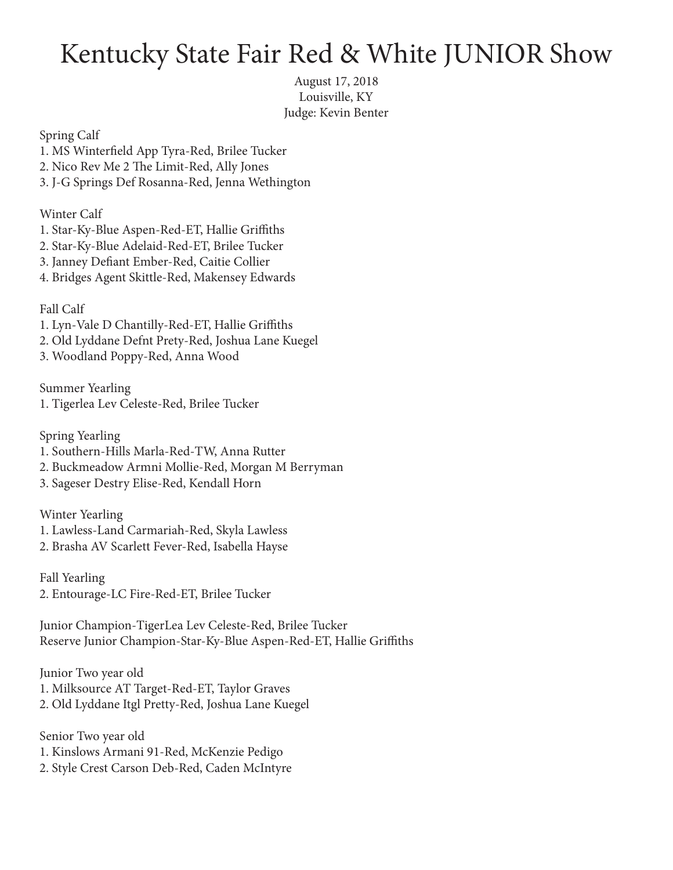## Kentucky State Fair Red & White JUNIOR Show

August 17, 2018 Louisville, KY Judge: Kevin Benter

Spring Calf

- 1. MS Winterfield App Tyra-Red, Brilee Tucker
- 2. Nico Rev Me 2 The Limit-Red, Ally Jones
- 3. J-G Springs Def Rosanna-Red, Jenna Wethington

Winter Calf

- 1. Star-Ky-Blue Aspen-Red-ET, Hallie Griffiths
- 2. Star-Ky-Blue Adelaid-Red-ET, Brilee Tucker
- 3. Janney Defiant Ember-Red, Caitie Collier
- 4. Bridges Agent Skittle-Red, Makensey Edwards

## Fall Calf

- 1. Lyn-Vale D Chantilly-Red-ET, Hallie Griffiths
- 2. Old Lyddane Defnt Prety-Red, Joshua Lane Kuegel
- 3. Woodland Poppy-Red, Anna Wood

Summer Yearling 1. Tigerlea Lev Celeste-Red, Brilee Tucker

Spring Yearling

- 1. Southern-Hills Marla-Red-TW, Anna Rutter
- 2. Buckmeadow Armni Mollie-Red, Morgan M Berryman
- 3. Sageser Destry Elise-Red, Kendall Horn

Winter Yearling 1. Lawless-Land Carmariah-Red, Skyla Lawless

2. Brasha AV Scarlett Fever-Red, Isabella Hayse

Fall Yearling 2. Entourage-LC Fire-Red-ET, Brilee Tucker

Junior Champion-TigerLea Lev Celeste-Red, Brilee Tucker Reserve Junior Champion-Star-Ky-Blue Aspen-Red-ET, Hallie Griffiths

Junior Two year old 1. Milksource AT Target-Red-ET, Taylor Graves 2. Old Lyddane Itgl Pretty-Red, Joshua Lane Kuegel

Senior Two year old 1. Kinslows Armani 91-Red, McKenzie Pedigo 2. Style Crest Carson Deb-Red, Caden McIntyre